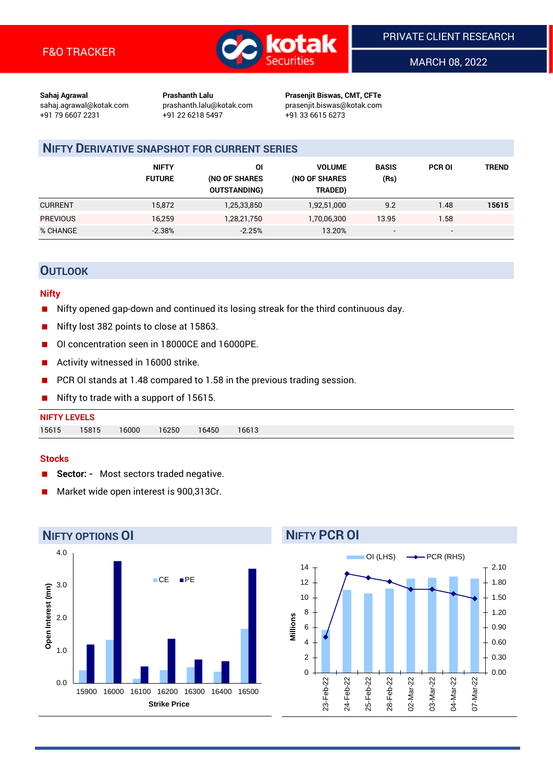

MARCH 08, 2022

**Sahaj Agrawal Prashanth Lalu Prasenjit Biswas, CMT, CFTe** +91 79 6607 2231 +91 22 6218 5497 +91 33 6615 6273

sahaj.agrawal@kotak.com [prashanth.lalu@kotak.com](mailto:prashanth.lalu@kotak.com) prasenjit.biswas@kotak.com

# **NIFTY DERIVATIVE SNAPSHOT FOR CURRENT SERIES**

|                 | <b>NIFTY</b><br><b>FUTURE</b> | ΟI<br>(NO OF SHARES<br><b>OUTSTANDING)</b> | <b>VOLUME</b><br>(NO OF SHARES<br>TRADED) | <b>BASIS</b><br>(Rs)     | <b>PCR OI</b> | TREND |
|-----------------|-------------------------------|--------------------------------------------|-------------------------------------------|--------------------------|---------------|-------|
| <b>CURRENT</b>  | 15,872                        | 1,25,33,850                                | 1,92,51,000                               | 9.2                      | 1.48          | 15615 |
| <b>PREVIOUS</b> | 16,259                        | 1,28,21,750                                | 1,70,06,300                               | 13.95                    | 1.58          |       |
| % CHANGE        | $-2.38%$                      | $-2.25%$                                   | 13.20%                                    | $\overline{\phantom{a}}$ | -             |       |

## **OUTLOOK**

#### **Nifty**

- Nifty opened gap-down and continued its losing streak for the third continuous day.
- Nifty lost 382 points to close at 15863.
- OI concentration seen in 18000CE and 16000PE.
- Activity witnessed in 16000 strike.
- PCR OI stands at 1.48 compared to 1.58 in the previous trading session.
- Nifty to trade with a support of 15615.

| <b>NIFTY LEVELS</b> |                |                |       |
|---------------------|----------------|----------------|-------|
| 15615               | 15815<br>16000 | 16250<br>16450 | 16613 |

#### **Stocks**

- **Sector:** Most sectors traded negative.
- Market wide open interest is 900,313Cr.



# **NIFTY PCR OI**

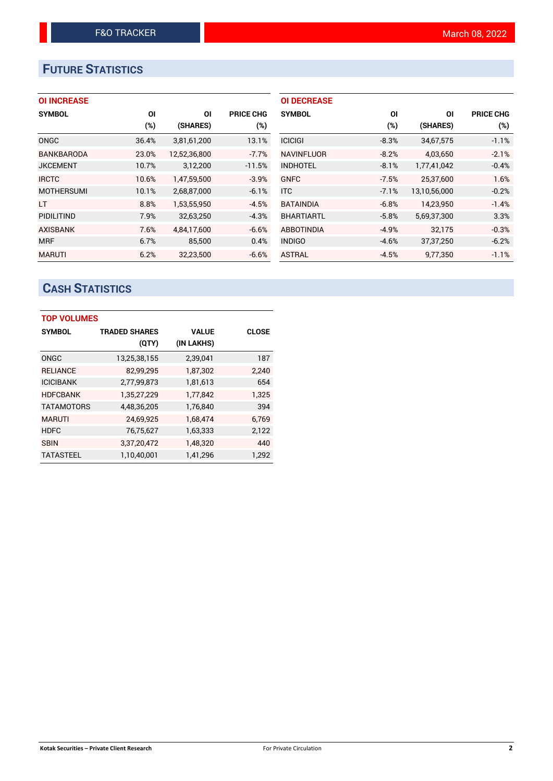# **FUTURE STATISTICS**

## **OI INCREASE**

| <b>SYMBOL</b>     | ΟI    | ΟI           | <b>PRICE CHG</b> |
|-------------------|-------|--------------|------------------|
|                   | (%)   | (SHARES)     | $(\%)$           |
| <b>ONGC</b>       | 36.4% | 3,81,61,200  | 13.1%            |
| <b>BANKBARODA</b> | 23.0% | 12,52,36,800 | $-7.7%$          |
| <b>JKCEMENT</b>   | 10.7% | 3,12,200     | $-11.5%$         |
| <b>IRCTC</b>      | 10.6% | 1,47,59,500  | $-3.9%$          |
| <b>MOTHERSUMI</b> | 10.1% | 2,68,87,000  | $-6.1%$          |
| LT.               | 8.8%  | 1,53,55,950  | $-4.5%$          |
| <b>PIDILITIND</b> | 7.9%  | 32,63,250    | $-4.3%$          |
| <b>AXISBANK</b>   | 7.6%  | 4,84,17,600  | $-6.6%$          |
| <b>MRF</b>        | 6.7%  | 85,500       | 0.4%             |
| <b>MARUTI</b>     | 6.2%  | 32.23.500    | $-6.6%$          |

| <b>OI DECREASE</b> |         |              |                  |
|--------------------|---------|--------------|------------------|
| <b>SYMBOL</b>      | ΟI      | ΟI           | <b>PRICE CHG</b> |
|                    | $(\%)$  | (SHARES)     | $(\%)$           |
| <b>ICICIGI</b>     | $-8.3%$ | 34,67,575    | $-1.1%$          |
| <b>NAVINFLUOR</b>  | $-8.2%$ | 4,03,650     | $-2.1%$          |
| <b>INDHOTEL</b>    | $-8.1%$ | 1,77,41,042  | $-0.4%$          |
| <b>GNFC</b>        | $-7.5%$ | 25.37.600    | 1.6%             |
| <b>ITC</b>         | $-7.1%$ | 13,10,56,000 | $-0.2%$          |
| <b>BATAINDIA</b>   | $-6.8%$ | 14.23.950    | $-1.4%$          |
| <b>BHARTIARTL</b>  | $-5.8%$ | 5,69,37,300  | 3.3%             |
| <b>ABBOTINDIA</b>  | $-4.9%$ | 32,175       | $-0.3%$          |
| <b>INDIGO</b>      | $-4.6%$ | 37, 37, 250  | $-6.2%$          |
| <b>ASTRAL</b>      | $-4.5%$ | 9,77,350     | $-1.1%$          |

# **CASH STATISTICS**

| <b>TOP VOLUMES</b> |                      |            |              |  |  |  |  |
|--------------------|----------------------|------------|--------------|--|--|--|--|
| <b>SYMBOL</b>      | <b>TRADED SHARES</b> | VALUE      | <b>CLOSE</b> |  |  |  |  |
|                    | (QTY)                | (IN LAKHS) |              |  |  |  |  |
| ONGC               | 13,25,38,155         | 2,39,041   | 187          |  |  |  |  |
| <b>RELIANCE</b>    | 82,99,295            | 1,87,302   | 2.240        |  |  |  |  |
| <b>ICICIBANK</b>   | 2,77,99,873          | 1,81,613   | 654          |  |  |  |  |
| <b>HDFCBANK</b>    | 1,35,27,229          | 1,77,842   | 1,325        |  |  |  |  |
| <b>TATAMOTORS</b>  | 4,48,36,205          | 1,76,840   | 394          |  |  |  |  |
| <b>MARUTI</b>      | 24,69,925            | 1,68,474   | 6,769        |  |  |  |  |
| <b>HDFC</b>        | 76,75,627            | 1,63,333   | 2,122        |  |  |  |  |
| <b>SBIN</b>        | 3,37,20,472          | 1,48,320   | 440          |  |  |  |  |
| <b>TATASTEEL</b>   | 1,10,40,001          | 1,41,296   | 1,292        |  |  |  |  |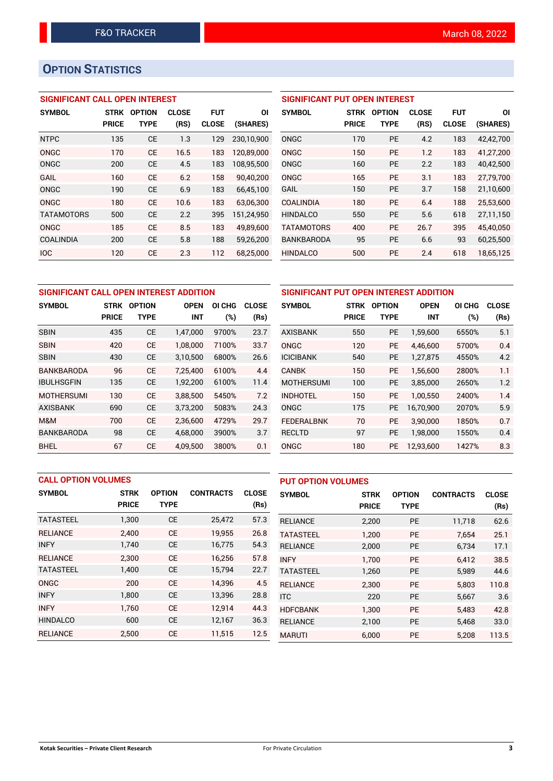# **OPTION STATISTICS**

## **SIGNIFICANT CALL OPEN INTEREST**

| <b>SYMBOL</b>     | STRK         | <b>OPTION</b> | <b>CLOSE</b> | <b>FUT</b>   | ΟI         |
|-------------------|--------------|---------------|--------------|--------------|------------|
|                   | <b>PRICE</b> | TYPE          | (RS)         | <b>CLOSE</b> | (SHARES)   |
| <b>NTPC</b>       | 135          | <b>CE</b>     | 1.3          | 129          | 230,10,900 |
| ONGC              | 170          | CF            | 16.5         | 183          | 120,89,000 |
| ONGC              | 200          | <b>CE</b>     | 4.5          | 183          | 108,95,500 |
| GAIL              | 160          | CE            | 6.2          | 158          | 90.40.200  |
| ONGC              | 190          | CE            | 6.9          | 183          | 66,45,100  |
| ONGC              | 180          | CE            | 10.6         | 183          | 63,06,300  |
| <b>TATAMOTORS</b> | 500          | CE            | 2.2          | 395          | 151,24,950 |
| ONGC              | 185          | CE            | 8.5          | 183          | 49,89,600  |
| <b>COALINDIA</b>  | 200          | CE            | 5.8          | 188          | 59,26,200  |
| <b>IOC</b>        | 120          | CE            | 2.3          | 112          | 68.25.000  |

### **SIGNIFICANT PUT OPEN INTEREST**

| <b>SYMBOL</b>     | <b>STRK</b><br><b>PRICE</b> | <b>OPTION</b><br>TYPE | <b>CLOSE</b><br>(RS) | <b>FUT</b><br><b>CLOSE</b> | ΟI<br>(SHARES) |
|-------------------|-----------------------------|-----------------------|----------------------|----------------------------|----------------|
| ONGC              | 170                         | PF                    | 4.2                  | 183                        | 42,42,700      |
| ONGC              | 150                         | PF                    | 1.2                  | 183                        | 41,27,200      |
| ONGC              | 160                         | PF                    | 2.2                  | 183                        | 40,42,500      |
| ONGC              | 165                         | PF                    | 3.1                  | 183                        | 27,79,700      |
| GAIL              | 150                         | PF                    | 3.7                  | 158                        | 21,10,600      |
| <b>COALINDIA</b>  | 180                         | PF                    | 6.4                  | 188                        | 25,53,600      |
| <b>HINDALCO</b>   | 550                         | <b>PE</b>             | 5.6                  | 618                        | 27,11,150      |
| <b>TATAMOTORS</b> | 400                         | <b>PE</b>             | 26.7                 | 395                        | 45,40,050      |
| <b>BANKBARODA</b> | 95                          | <b>PE</b>             | 6.6                  | 93                         | 60,25,500      |
| <b>HINDALCO</b>   | 500                         | <b>PE</b>             | 2.4                  | 618                        | 18,65,125      |

| SIGNIFICANT CALL OPEN INTEREST ADDITION |              |               |             |        |              |  |  |  |  |
|-----------------------------------------|--------------|---------------|-------------|--------|--------------|--|--|--|--|
| <b>SYMBOL</b>                           | <b>STRK</b>  | <b>OPTION</b> | <b>OPEN</b> | OI CHG | <b>CLOSE</b> |  |  |  |  |
|                                         | <b>PRICE</b> | <b>TYPE</b>   | <b>INT</b>  | (%)    | (Rs)         |  |  |  |  |
| <b>SBIN</b>                             | 435          | CE            | 1,47,000    | 9700%  | 23.7         |  |  |  |  |
| <b>SBIN</b>                             | 420          | <b>CE</b>     | 1,08,000    | 7100%  | 33.7         |  |  |  |  |
| <b>SBIN</b>                             | 430          | CE            | 3,10,500    | 6800%  | 26.6         |  |  |  |  |
| <b>BANKBARODA</b>                       | 96           | <b>CE</b>     | 7.25.400    | 6100%  | 4.4          |  |  |  |  |
| <b>IBULHSGFIN</b>                       | 135          | СE            | 1,92,200    | 6100%  | 11.4         |  |  |  |  |
| <b>MOTHERSUMI</b>                       | 130          | CE            | 3.88.500    | 5450%  | 7.2          |  |  |  |  |
| <b>AXISBANK</b>                         | 690          | СE            | 3,73,200    | 5083%  | 24.3         |  |  |  |  |
| M&M                                     | 700          | CE            | 2,36,600    | 4729%  | 29.7         |  |  |  |  |
| BANKBARODA                              | 98           | CE            | 4,68,000    | 3900%  | 3.7          |  |  |  |  |
| <b>BHEL</b>                             | 67           | CE            | 4.09.500    | 3800%  | 0.1          |  |  |  |  |

| SIGNIFICANT PUT OPEN INTEREST ADDITION |              |               |             |        |              |  |  |  |  |
|----------------------------------------|--------------|---------------|-------------|--------|--------------|--|--|--|--|
| <b>SYMBOL</b>                          | <b>STRK</b>  | <b>OPTION</b> | <b>OPEN</b> | OI CHG | <b>CLOSE</b> |  |  |  |  |
|                                        | <b>PRICE</b> | TYPE          | INT         | (%)    | (Rs)         |  |  |  |  |
| <b>AXISBANK</b>                        | 550          | <b>PE</b>     | 1,59,600    | 6550%  | 5.1          |  |  |  |  |
| ONGC                                   | 120          | <b>PE</b>     | 4.46.600    | 5700%  | 0.4          |  |  |  |  |
| <b>ICICIBANK</b>                       | 540          | <b>PE</b>     | 1,27,875    | 4550%  | 4.2          |  |  |  |  |
| <b>CANBK</b>                           | 150          | <b>PE</b>     | 1,56,600    | 2800%  | 1.1          |  |  |  |  |
| <b>MOTHERSUMI</b>                      | 100          | PE            | 3,85,000    | 2650%  | 1.2          |  |  |  |  |
| <b>INDHOTEL</b>                        | 150          | <b>PE</b>     | 1,00,550    | 2400%  | 1.4          |  |  |  |  |
| ONGC                                   | 175          | <b>PE</b>     | 16.70.900   | 2070%  | 5.9          |  |  |  |  |
| <b>FEDERALBNK</b>                      | 70           | <b>PE</b>     | 3,90,000    | 1850%  | 0.7          |  |  |  |  |
| <b>RECLTD</b>                          | 97           | <b>PE</b>     | 1,98,000    | 1550%  | 0.4          |  |  |  |  |
| ONGC                                   | 180          | <b>PE</b>     | 12,93,600   | 1427%  | 8.3          |  |  |  |  |

|                  | <b>CALL OPTION VOLUMES</b> |               |                  |              | <b>PUT OPTION VOLUMES</b> |              |               |                  |              |
|------------------|----------------------------|---------------|------------------|--------------|---------------------------|--------------|---------------|------------------|--------------|
| <b>SYMBOL</b>    | <b>STRK</b>                | <b>OPTION</b> | <b>CONTRACTS</b> | <b>CLOSE</b> | <b>SYMBOL</b>             | <b>STRK</b>  | <b>OPTION</b> | <b>CONTRACTS</b> | <b>CLOSE</b> |
|                  | <b>PRICE</b>               | <b>TYPE</b>   |                  | (Rs)         |                           | <b>PRICE</b> | <b>TYPE</b>   |                  | (Rs)         |
| <b>TATASTEEL</b> | 1,300                      | <b>CE</b>     | 25,472           | 57.3         | <b>RELIANCE</b>           | 2,200        | <b>PE</b>     | 11,718           | 62.6         |
| <b>RELIANCE</b>  | 2.400                      | <b>CE</b>     | 19,955           | 26.8         | <b>TATASTEEL</b>          | 1.200        | <b>PE</b>     | 7.654            | 25.1         |
| <b>INFY</b>      | 1,740                      | <b>CE</b>     | 16,775           | 54.3         | <b>RELIANCE</b>           | 2,000        | PE            | 6,734            | 17.1         |
| <b>RELIANCE</b>  | 2.300                      | <b>CE</b>     | 16.256           | 57.8         | <b>INFY</b>               | 1.700        | <b>PE</b>     | 6.412            | 38.5         |
| <b>TATASTEEL</b> | 1,400                      | <b>CE</b>     | 15,794           | 22.7         | <b>TATASTEEL</b>          | 1.260        | <b>PE</b>     | 5,989            | 44.6         |
| <b>ONGC</b>      | 200                        | <b>CE</b>     | 14.396           | 4.5          | <b>RELIANCE</b>           | 2.300        | <b>PE</b>     | 5.803            | 110.8        |
| <b>INFY</b>      | 1,800                      | <b>CE</b>     | 13,396           | 28.8         | <b>ITC</b>                | 220          | <b>PE</b>     | 5,667            | 3.6          |
| <b>INFY</b>      | 1.760                      | <b>CE</b>     | 12.914           | 44.3         | <b>HDFCBANK</b>           | 1,300        | <b>PE</b>     | 5.483            | 42.8         |
| <b>HINDALCO</b>  | 600                        | <b>CE</b>     | 12,167           | 36.3         | <b>RELIANCE</b>           | 2,100        | PE            | 5,468            | 33.0         |
| <b>RELIANCE</b>  | 2,500                      | <b>CE</b>     | 11,515           | 12.5         | <b>MARUTI</b>             | 6,000        | PE            | 5.208            | 113.5        |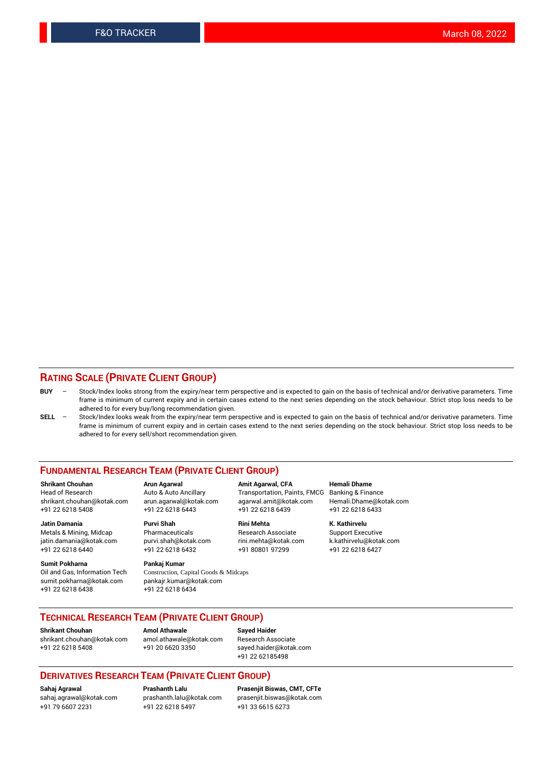#### **RATING SCALE (PRIVATE CLIENT GROUP)**

- **BUY**  Stock/Index looks strong from the expiry/near term perspective and is expected to gain on the basis of technical and/or derivative parameters. Time frame is minimum of current expiry and in certain cases extend to the next series depending on the stock behaviour. Strict stop loss needs to be adhered to for every buy/long recommendation given.
- **SELL** Stock/Index looks weak from the expiry/near term perspective and is expected to gain on the basis of technical and/or derivative parameters. Time frame is minimum of current expiry and in certain cases extend to the next series depending on the stock behaviour. Strict stop loss needs to be adhered to for every sell/short recommendation given.

#### **FUNDAMENTAL RESEARCH TEAM (PRIVATE CLIENT GROUP)**

**Shrikant Chouhan Arun Agarwal Amit Agarwal, CFA Hemali Dhame** shrikant.chouhan@kotak.com arun.agarwal@kotak.com agarwal.amit@kotak.com Hemali.Dhame@kotak.com +91 22 6218 5408 +91 22 6218 6443 +91 22 6218 6439 +91 22 6218 6433

jatin.damania@kotak.com +91 22 6218 6440 +91 22 6218 6432 +91 80801 97299 +91 22 6218 6427

**Sumit Pokharna** Pankaj Kumar<br>Oil and Gas, Information Tech Construction, C sumit.pokharna@kotak.com pankajr.kumar@kotak.com +91 22 6218 6438 +91 22 6218 6434

**Jatin Damania Purvi Shah Rini Mehta K. Kathirvelu**

Construction, Capital Goods & Midcaps

Transportation, Paints, FMCG

Metals & Mining, Midcap Pharmaceuticals Pharmaceuticals Research Associate Support Executive<br>
iatin.damania@kotak.com purvi.shah@kotak.com rini.mehta@kotak.com k.kathirvelu@kotak.com

### **TECHNICAL RESEARCH TEAM (PRIVATE CLIENT GROUP)**

**Shrikant Chouhan Amol Athawale Sayed Haider** [shrikant.chouhan@kotak.com](mailto:shrikant.chouhan@kotak.com) [amol.athawale@kotak.com](mailto:amol.athawale@kotak.com) Research Associate +91 22 6218 5408 +91 20 6620 3350 [sayed.haider@kotak.com](mailto:sayed.haider@kotak.com)

+91 22 62185498

#### **DERIVATIVES RESEARCH TEAM (PRIVATE CLIENT GROUP)**

+91 79 6607 2231 +91 22 6218 5497 +91 33 6615 6273

**Sahaj Agrawal Prashanth Lalu Prasenjit Biswas, CMT, CFTe** [prasenjit.biswas@kotak.com](mailto:prasenjit.biswas@kotak.com)